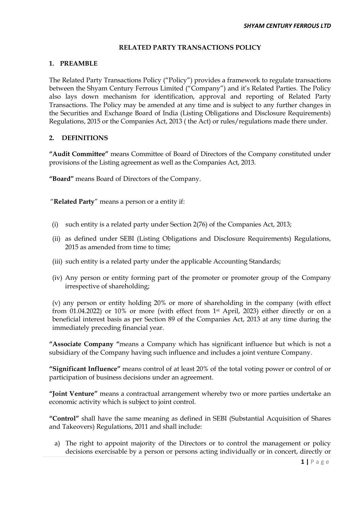### **RELATED PARTY TRANSACTIONS POLICY**

#### **1. PREAMBLE**

The Related Party Transactions Policy ("Policy") provides a framework to regulate transactions between the Shyam Century Ferrous Limited ("Company") and it's Related Parties. The Policy also lays down mechanism for identification, approval and reporting of Related Party Transactions. The Policy may be amended at any time and is subject to any further changes in the Securities and Exchange Board of India (Listing Obligations and Disclosure Requirements) Regulations, 2015 or the Companies Act, 2013 ( the Act) or rules/regulations made there under.

### **2. DEFINITIONS**

**"Audit Committee"** means Committee of Board of Directors of the Company constituted under provisions of the Listing agreement as well as the Companies Act, 2013.

**"Board"** means Board of Directors of the Company.

"**Related Party**" means a person or a entity if:

- (i) such entity is a related party under Section 2(76) of the Companies Act, 2013;
- (ii) as defined under SEBI (Listing Obligations and Disclosure Requirements) Regulations, 2015 as amended from time to time;
- (iii) such entity is a related party under the applicable Accounting Standards;
- (iv) Any person or entity forming part of the promoter or promoter group of the Company irrespective of shareholding;

(v) any person or entity holding 20% or more of shareholding in the company (with effect from 01.04.2022) or 10% or more (with effect from 1st April, 2023) either directly or on a beneficial interest basis as per Section 89 of the Companies Act, 2013 at any time during the immediately preceding financial year.

**"Associate Company "**means a Company which has significant influence but which is not a subsidiary of the Company having such influence and includes a joint venture Company.

**"Significant Influence"** means control of at least 20% of the total voting power or control of or participation of business decisions under an agreement.

**"Joint Venture"** means a contractual arrangement whereby two or more parties undertake an economic activity which is subject to joint control.

**"Control"** shall have the same meaning as defined in SEBI (Substantial Acquisition of Shares and Takeovers) Regulations, 2011 and shall include:

a) The right to appoint majority of the Directors or to control the management or policy decisions exercisable by a person or persons acting individually or in concert, directly or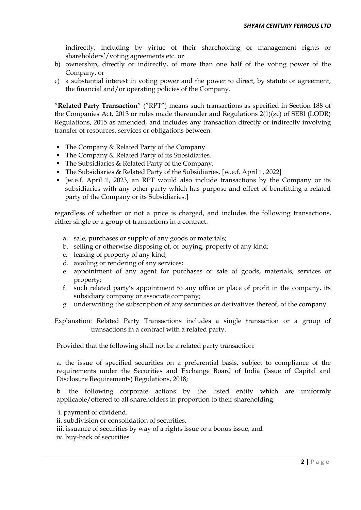indirectly, including by virtue of their shareholding or management rights or shareholders'/voting agreements etc. or

- b) ownership, directly or indirectly, of more than one half of the voting power of the Company, or
- c) a substantial interest in voting power and the power to direct, by statute or agreement, the financial and/or operating policies of the Company.

"**Related Party Transaction**" ("RPT") means such transactions as specified in Section 188 of the Companies Act, 2013 or rules made thereunder and Regulations 2(1)(zc) of SEBI (LODR) Regulations, 2015 as amended, and includes any transaction directly or indirectly involving transfer of resources, services or obligations between:

- The Company & Related Party of the Company.
- The Company & Related Party of its Subsidiaries.
- The Subsidiaries & Related Party of the Company.
- The Subsidiaries & Related Party of the Subsidiaries. [w.e.f. April 1, 2022]
- [w.e.f. April 1, 2023, an RPT would also include transactions by the Company or its subsidiaries with any other party which has purpose and effect of benefitting a related party of the Company or its Subsidiaries.]

regardless of whether or not a price is charged, and includes the following transactions, either single or a group of transactions in a contract:

- a. sale, purchases or supply of any goods or materials;
- b. selling or otherwise disposing of, or buying, property of any kind;
- c. leasing of property of any kind;
- d. availing or rendering of any services;
- e. appointment of any agent for purchases or sale of goods, materials, services or property;
- f. such related party's appointment to any office or place of profit in the company, its subsidiary company or associate company;
- g. underwriting the subscription of any securities or derivatives thereof, of the company.

Explanation: Related Party Transactions includes a single transaction or a group of transactions in a contract with a related party.

Provided that the following shall not be a related party transaction:

a. the issue of specified securities on a preferential basis, subject to compliance of the requirements under the Securities and Exchange Board of India (Issue of Capital and Disclosure Requirements) Regulations, 2018;

b. the following corporate actions by the listed entity which are uniformly applicable/offered to all shareholders in proportion to their shareholding:

- i. payment of dividend.
- ii. subdivision or consolidation of securities.
- iii. issuance of securities by way of a rights issue or a bonus issue; and
- iv. buy-back of securities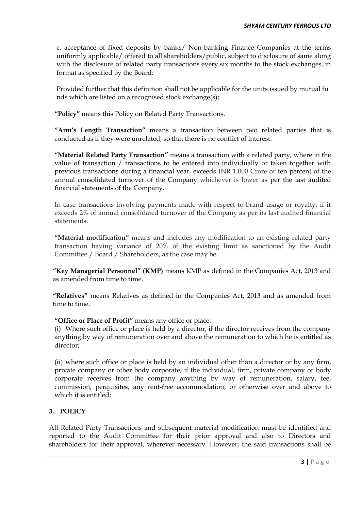c. acceptance of fixed deposits by banks/ Non-banking Finance Companies at the terms uniformly applicable/ offered to all shareholders/public, subject to disclosure of same along with the disclosure of related party transactions every six months to the stock exchanges, in format as specified by the Board:

Provided further that this definition shall not be applicable for the units issued by mutual fu nds which are listed on a recognised stock exchange(s);

**"Policy"** means this Policy on Related Party Transactions.

**"Arm's Length Transaction"** means a transaction between two related parties that is conducted as if they were unrelated, so that there is no conflict of interest.

**"Material Related Party Transaction"** means a transaction with a related party, where in the value of transaction / transactions to be entered into individually or taken together with previous transactions during a financial year, exceeds INR 1,000 Crore or ten percent of the annual consolidated turnover of the Company whichever is lower as per the last audited financial statements of the Company.

In case transactions involving payments made with respect to brand usage or royalty, if it exceeds 2% of annual consolidated turnover of the Company as per its last audited financial statements.

**"Material modification"** means and includes any modification to an existing related party transaction having variance of 20% of the existing limit as sanctioned by the Audit Committee / Board / Shareholders, as the case may be.

**"Key Managerial Personnel" (KMP)** means KMP as defined in the Companies Act, 2013 and as amended from time to time.

**"Relatives"** means Relatives as defined in the Companies Act, 2013 and as amended from time to time.

# **"Office or Place of Profit"** means any office or place:

(i) Where such office or place is held by a director, if the director receives from the company anything by way of remuneration over and above the remuneration to which he is entitled as director;

(ii) where such office or place is held by an individual other than a director or by any firm, private company or other body corporate, if the individual, firm, private company or body corporate receives from the company anything by way of remuneration, salary, fee, commission, perquisites, any rent‐free accommodation, or otherwise over and above to which it is entitled;

### **3. POLICY**

All Related Party Transactions and subsequent material modification must be identified and reported to the Audit Committee for their prior approval and also to Directors and shareholders for their approval, wherever necessary. However, the said transactions shall be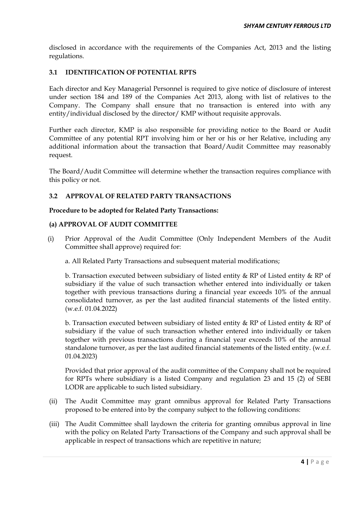disclosed in accordance with the requirements of the Companies Act, 2013 and the listing regulations.

### **3.1 IDENTIFICATION OF POTENTIAL RPTS**

Each director and Key Managerial Personnel is required to give notice of disclosure of interest under section 184 and 189 of the Companies Act 2013, along with list of relatives to the Company. The Company shall ensure that no transaction is entered into with any entity/individual disclosed by the director/ KMP without requisite approvals.

Further each director, KMP is also responsible for providing notice to the Board or Audit Committee of any potential RPT involving him or her or his or her Relative, including any additional information about the transaction that Board/Audit Committee may reasonably request.

The Board/Audit Committee will determine whether the transaction requires compliance with this policy or not.

# **3.2 APPROVAL OF RELATED PARTY TRANSACTIONS**

### **Procedure to be adopted for Related Party Transactions:**

### **(a) APPROVAL OF AUDIT COMMITTEE**

- (i) Prior Approval of the Audit Committee (Only Independent Members of the Audit Committee shall approve) required for:
	- a. All Related Party Transactions and subsequent material modifications;

b. Transaction executed between subsidiary of listed entity  $\&$  RP of Listed entity  $\&$  RP of subsidiary if the value of such transaction whether entered into individually or taken together with previous transactions during a financial year exceeds 10% of the annual consolidated turnover, as per the last audited financial statements of the listed entity. (w.e.f. 01.04.2022)

b. Transaction executed between subsidiary of listed entity & RP of Listed entity & RP of subsidiary if the value of such transaction whether entered into individually or taken together with previous transactions during a financial year exceeds 10% of the annual standalone turnover, as per the last audited financial statements of the listed entity. (w.e.f. 01.04.2023)

Provided that prior approval of the audit committee of the Company shall not be required for RPTs where subsidiary is a listed Company and regulation 23 and 15 (2) of SEBI LODR are applicable to such listed subsidiary.

- (ii) The Audit Committee may grant omnibus approval for Related Party Transactions proposed to be entered into by the company subject to the following conditions:
- (iii) The Audit Committee shall laydown the criteria for granting omnibus approval in line with the policy on Related Party Transactions of the Company and such approval shall be applicable in respect of transactions which are repetitive in nature;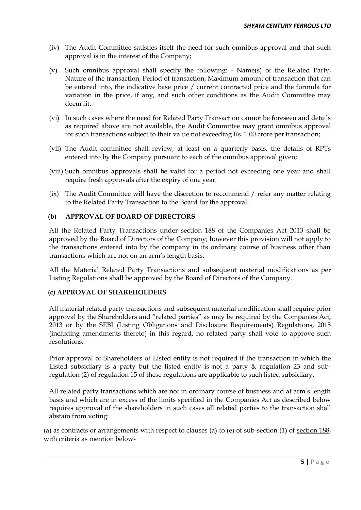- (iv) The Audit Committee satisfies itself the need for such omnibus approval and that such approval is in the interest of the Company;
- (v) Such omnibus approval shall specify the following: Name(s) of the Related Party, Nature of the transaction, Period of transaction, Maximum amount of transaction that can be entered into, the indicative base price / current contracted price and the formula for variation in the price, if any, and such other conditions as the Audit Committee may deem fit.
- (vi) In such cases where the need for Related Party Transaction cannot be foreseen and details as required above are not available, the Audit Committee may grant omnibus approval for such transactions subject to their value not exceeding Rs. 1.00 crore per transaction;
- (vii) The Audit committee shall review, at least on a quarterly basis, the details of RPTs entered into by the Company pursuant to each of the omnibus approval given;
- (viii) Such omnibus approvals shall be valid for a period not exceeding one year and shall require fresh approvals after the expiry of one year.
- (ix) The Audit Committee will have the discretion to recommend / refer any matter relating to the Related Party Transaction to the Board for the approval.

## **(b) APPROVAL OF BOARD OF DIRECTORS**

All the Related Party Transactions under section 188 of the Companies Act 2013 shall be approved by the Board of Directors of the Company; however this provision will not apply to the transactions entered into by the company in its ordinary course of business other than transactions which are not on an arm's length basis.

All the Material Related Party Transactions and subsequent material modifications as per Listing Regulations shall be approved by the Board of Directors of the Company.

### **(c) APPROVAL OF SHAREHOLDERS**

All material related party transactions and subsequent material modification shall require prior approval by the Shareholders and "related parties" as may be required by the Companies Act, 2013 or by the SEBI (Listing Obligations and Disclosure Requirements) Regulations, 2015 (including amendments thereto) in this regard, no related party shall vote to approve such resolutions.

Prior approval of Shareholders of Listed entity is not required if the transaction in which the Listed subsidiary is a party but the listed entity is not a party & regulation 23 and subregulation (2) of regulation 15 of these regulations are applicable to such listed subsidiary.

All related party transactions which are not in ordinary course of business and at arm's length basis and which are in excess of the limits specified in the Companies Act as described below requires approval of the shareholders in such cases all related parties to the transaction shall abstain from voting:

(a) as contracts or arrangements with respect to clauses (a) to (e) of sub-section (1) of [section 188,](http://ebook.mca.gov.in/Actpagedisplay.aspx?PAGENAME=17582) with criteria as mention below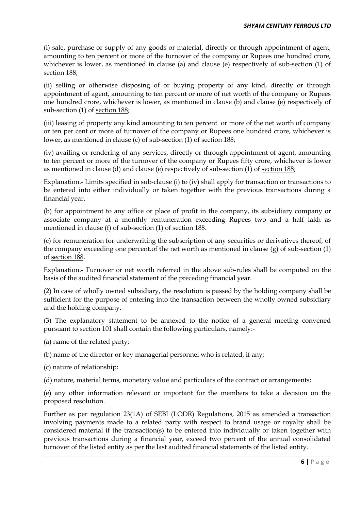(i) sale, purchase or supply of any goods or material, directly or through appointment of agent, amounting to ten percent or more of the turnover of the company or Rupees one hundred crore, whichever is lower, as mentioned in clause (a) and clause (e) respectively of sub-section (1) of [section 188;](http://ebook.mca.gov.in/Actpagedisplay.aspx?PAGENAME=17582)

(ii) selling or otherwise disposing of or buying property of any kind, directly or through appointment of agent, amounting to ten percent or more of net worth of the company or Rupees one hundred crore, whichever is lower, as mentioned in clause (b) and clause (e) respectively of sub-section (1) of [section 188;](http://ebook.mca.gov.in/Actpagedisplay.aspx?PAGENAME=17582)

(iii) leasing of property any kind amounting to ten percent or more of the net worth of company or ten per cent or more of turnover of the company or Rupees one hundred crore, whichever is lower, as mentioned in clause (c) of sub-section (1) of [section 188;](http://ebook.mca.gov.in/Actpagedisplay.aspx?PAGENAME=17582)

(iv) availing or rendering of any services, directly or through appointment of agent, amounting to ten percent or more of the turnover of the company or Rupees fifty crore, whichever is lower as mentioned in clause (d) and clause (e) respectively of sub-section (1) of [section 188;](http://ebook.mca.gov.in/Actpagedisplay.aspx?PAGENAME=17582)

Explanation.- Limits specified in sub-clause (i) to (iv) shall apply for transaction or transactions to be entered into either individually or taken together with the previous transactions during a financial year.

(b) for appointment to any office or place of profit in the company, its subsidiary company or associate company at a monthly remuneration exceeding Rupees two and a half lakh as mentioned in clause (f) of sub-section (1) of [section 188.](http://ebook.mca.gov.in/Actpagedisplay.aspx?PAGENAME=17582)

(c) for remuneration for underwriting the subscription of any securities or derivatives thereof, of the company exceeding one percent.of the net worth as mentioned in clause (g) of sub-section (1) of [section 188.](http://ebook.mca.gov.in/Actpagedisplay.aspx?PAGENAME=17582)

Explanation.- Turnover or net worth referred in the above sub-rules shall be computed on the basis of the audited financial statement of the preceding financial year.

(2) In case of wholly owned subsidiary, the resolution is passed by the holding company shall be sufficient for the purpose of entering into the transaction between the wholly owned subsidiary and the holding company.

(3) The explanatory statement to be annexed to the notice of a general meeting convened pursuant to [section 101](http://ebook.mca.gov.in/Actpagedisplay.aspx?PAGENAME=17484) shall contain the following particulars, namely:-

(a) name of the related party;

(b) name of the director or key managerial personnel who is related, if any;

(c) nature of relationship;

(d) nature, material terms, monetary value and particulars of the contract or arrangements;

(e) any other information relevant or important for the members to take a decision on the proposed resolution.

Further as per regulation 23(1A) of SEBI (LODR) Regulations, 2015 as amended a transaction involving payments made to a related party with respect to brand usage or royalty shall be considered material if the transaction(s) to be entered into individually or taken together with previous transactions during a financial year, exceed two percent of the annual consolidated turnover of the listed entity as per the last audited financial statements of the listed entity.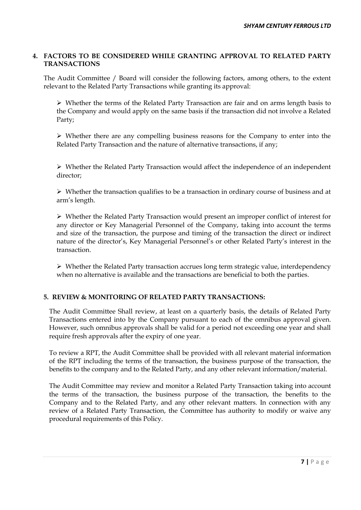### **4. FACTORS TO BE CONSIDERED WHILE GRANTING APPROVAL TO RELATED PARTY TRANSACTIONS**

The Audit Committee / Board will consider the following factors, among others, to the extent relevant to the Related Party Transactions while granting its approval:

 $\triangleright$  Whether the terms of the Related Party Transaction are fair and on arms length basis to the Company and would apply on the same basis if the transaction did not involve a Related Party;

 Whether there are any compelling business reasons for the Company to enter into the Related Party Transaction and the nature of alternative transactions, if any;

 $\triangleright$  Whether the Related Party Transaction would affect the independence of an independent director;

 $\triangleright$  Whether the transaction qualifies to be a transaction in ordinary course of business and at arm's length.

 Whether the Related Party Transaction would present an improper conflict of interest for any director or Key Managerial Personnel of the Company, taking into account the terms and size of the transaction, the purpose and timing of the transaction the direct or indirect nature of the director's, Key Managerial Personnel's or other Related Party's interest in the transaction.

 Whether the Related Party transaction accrues long term strategic value, interdependency when no alternative is available and the transactions are beneficial to both the parties.

# **5. REVIEW & MONITORING OF RELATED PARTY TRANSACTIONS:**

The Audit Committee Shall review, at least on a quarterly basis, the details of Related Party Transactions entered into by the Company pursuant to each of the omnibus approval given. However, such omnibus approvals shall be valid for a period not exceeding one year and shall require fresh approvals after the expiry of one year.

To review a RPT, the Audit Committee shall be provided with all relevant material information of the RPT including the terms of the transaction, the business purpose of the transaction, the benefits to the company and to the Related Party, and any other relevant information/material.

The Audit Committee may review and monitor a Related Party Transaction taking into account the terms of the transaction, the business purpose of the transaction, the benefits to the Company and to the Related Party, and any other relevant matters. In connection with any review of a Related Party Transaction, the Committee has authority to modify or waive any procedural requirements of this Policy.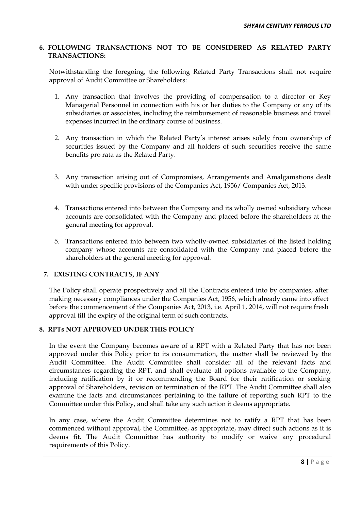## **6. FOLLOWING TRANSACTIONS NOT TO BE CONSIDERED AS RELATED PARTY TRANSACTIONS:**

Notwithstanding the foregoing, the following Related Party Transactions shall not require approval of Audit Committee or Shareholders:

- 1. Any transaction that involves the providing of compensation to a director or Key Managerial Personnel in connection with his or her duties to the Company or any of its subsidiaries or associates, including the reimbursement of reasonable business and travel expenses incurred in the ordinary course of business.
- 2. Any transaction in which the Related Party's interest arises solely from ownership of securities issued by the Company and all holders of such securities receive the same benefits pro rata as the Related Party.
- 3. Any transaction arising out of Compromises, Arrangements and Amalgamations dealt with under specific provisions of the Companies Act, 1956/ Companies Act, 2013.
- 4. Transactions entered into between the Company and its wholly owned subsidiary whose accounts are consolidated with the Company and placed before the shareholders at the general meeting for approval.
- 5. Transactions entered into between two wholly-owned subsidiaries of the listed holding company whose accounts are consolidated with the Company and placed before the shareholders at the general meeting for approval.

# **7. EXISTING CONTRACTS, IF ANY**

The Policy shall operate prospectively and all the Contracts entered into by companies, after making necessary compliances under the Companies Act, 1956, which already came into effect before the commencement of the Companies Act, 2013, i.e. April 1, 2014, will not require fresh approval till the expiry of the original term of such contracts.

# **8. RPTs NOT APPROVED UNDER THIS POLICY**

In the event the Company becomes aware of a RPT with a Related Party that has not been approved under this Policy prior to its consummation, the matter shall be reviewed by the Audit Committee. The Audit Committee shall consider all of the relevant facts and circumstances regarding the RPT, and shall evaluate all options available to the Company, including ratification by it or recommending the Board for their ratification or seeking approval of Shareholders, revision or termination of the RPT. The Audit Committee shall also examine the facts and circumstances pertaining to the failure of reporting such RPT to the Committee under this Policy, and shall take any such action it deems appropriate.

In any case, where the Audit Committee determines not to ratify a RPT that has been commenced without approval, the Committee, as appropriate, may direct such actions as it is deems fit. The Audit Committee has authority to modify or waive any procedural requirements of this Policy.